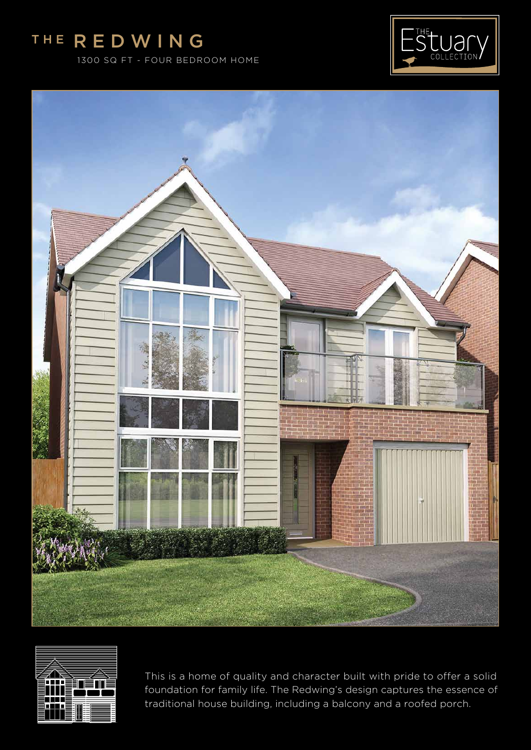# The R E DWING

1300 SQ FT - FOUR BEDROOM HOME







This is a home of quality and character built with pride to offer a solid foundation for family life. The Redwing's design captures the essence of traditional house building, including a balcony and a roofed porch.